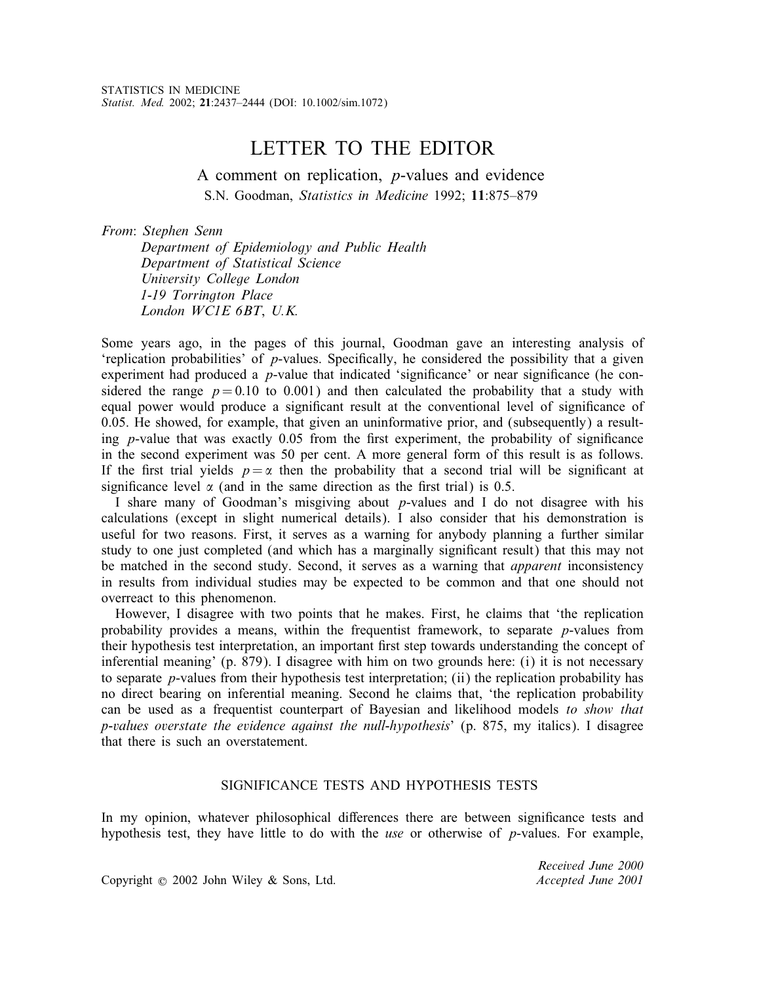# LETTER TO THE EDITOR

A comment on replication, p-values and evidence S.N. Goodman, *Statistics in Medicine* 1992; 11:875–879

*From*: *Stephen Senn*

*Department of Epidemiology and Public Health Department of Statistical Science University College London 1-19 Torrington Place London WC1E 6BT*, *U.K.*

Some years ago, in the pages of this journal, Goodman gave an interesting analysis of 'replication probabilities' of  $p$ -values. Specifically, he considered the possibility that a given experiment had produced a  $p$ -value that indicated 'significance' or near significance (he considered the range  $p = 0.10$  to 0.001) and then calculated the probability that a study with equal power would produce a signicant result at the conventional level of signicance of 0.05. He showed, for example, that given an uninformative prior, and (subsequently) a resulting  $p$ -value that was exactly 0.05 from the first experiment, the probability of significance in the second experiment was 50 per cent. A more general form of this result is as follows. If the first trial yields  $p = \alpha$  then the probability that a second trial will be significant at significance level  $\alpha$  (and in the same direction as the first trial) is 0.5.

I share many of Goodman's misgiving about p-values and I do not disagree with his calculations (except in slight numerical details). I also consider that his demonstration is useful for two reasons. First, it serves as a warning for anybody planning a further similar study to one just completed (and which has a marginally significant result) that this may not be matched in the second study. Second, it serves as a warning that *apparent* inconsistency in results from individual studies may be expected to be common and that one should not overreact to this phenomenon.

However, I disagree with two points that he makes. First, he claims that 'the replication probability provides a means, within the frequentist framework, to separate p-values from their hypothesis test interpretation, an important first step towards understanding the concept of inferential meaning' (p. 879). I disagree with him on two grounds here: (i) it is not necessary to separate p-values from their hypothesis test interpretation; (ii) the replication probability has no direct bearing on inferential meaning. Second he claims that, 'the replication probability can be used as a frequentist counterpart of Bayesian and likelihood models *to show that p-values overstate the evidence against the null-hypothesis*' (p. 875, my italics). I disagree that there is such an overstatement.

## SIGNIFICANCE TESTS AND HYPOTHESIS TESTS

In my opinion, whatever philosophical differences there are between significance tests and hypothesis test, they have little to do with the *use* or otherwise of p-values. For example,

Copyright ? 2002 John Wiley & Sons, Ltd. *Accepted June 2001*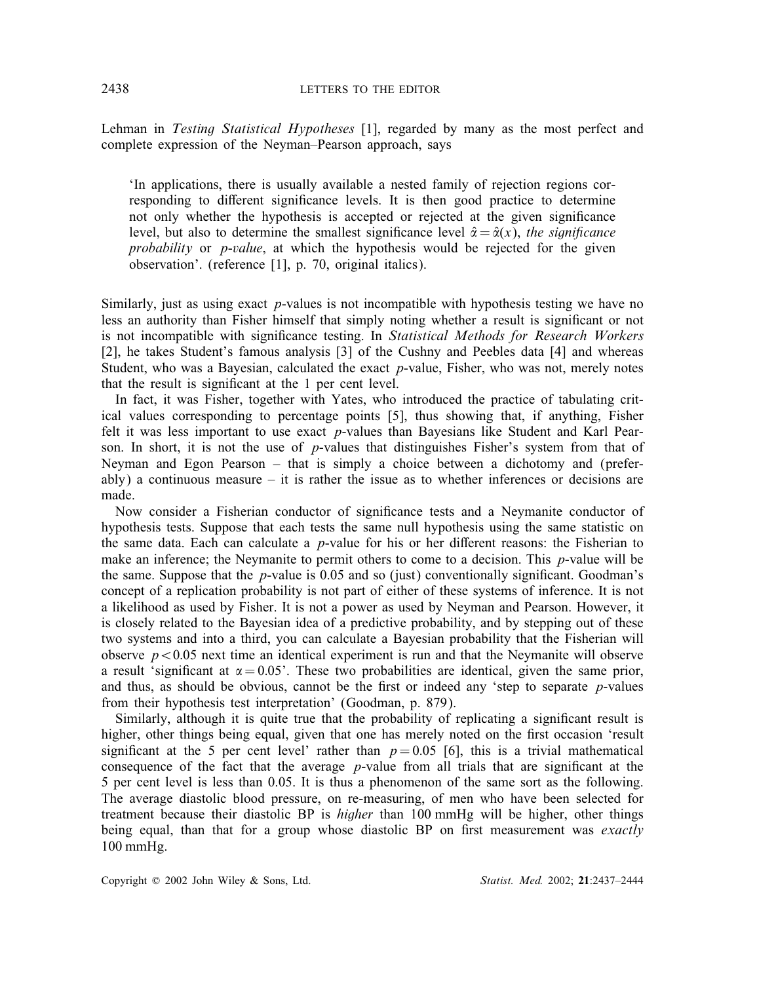Lehman in *Testing Statistical Hypotheses* [1], regarded by many as the most perfect and complete expression of the Neyman–Pearson approach, says

'In applications, there is usually available a nested family of rejection regions corresponding to different significance levels. It is then good practice to determine not only whether the hypothesis is accepted or rejected at the given signicance level, but also to determine the smallest significance level  $\hat{\alpha} = \hat{\alpha}(x)$ , *the significance probability* or p-*value*, at which the hypothesis would be rejected for the given observation'. (reference [1], p. 70, original italics).

Similarly, just as using exact p-values is not incompatible with hypothesis testing we have no less an authority than Fisher himself that simply noting whether a result is signicant or not is not incompatible with signicance testing. In *Statistical Methods for Research Workers* [2], he takes Student's famous analysis [3] of the Cushny and Peebles data [4] and whereas Student, who was a Bayesian, calculated the exact  $p$ -value, Fisher, who was not, merely notes that the result is significant at the 1 per cent level.

In fact, it was Fisher, together with Yates, who introduced the practice of tabulating critical values corresponding to percentage points [5], thus showing that, if anything, Fisher felt it was less important to use exact p-values than Bayesians like Student and Karl Pearson. In short, it is not the use of  $p$ -values that distinguishes Fisher's system from that of Neyman and Egon Pearson – that is simply a choice between a dichotomy and (preferably) a continuous measure – it is rather the issue as to whether inferences or decisions are made.

Now consider a Fisherian conductor of signicance tests and a Neymanite conductor of hypothesis tests. Suppose that each tests the same null hypothesis using the same statistic on the same data. Each can calculate a  $p$ -value for his or her different reasons: the Fisherian to make an inference; the Neymanite to permit others to come to a decision. This  $p$ -value will be the same. Suppose that the  $p$ -value is 0.05 and so (just) conventionally significant. Goodman's concept of a replication probability is not part of either of these systems of inference. It is not a likelihood as used by Fisher. It is not a power as used by Neyman and Pearson. However, it is closely related to the Bayesian idea of a predictive probability, and by stepping out of these two systems and into a third, you can calculate a Bayesian probability that the Fisherian will observe  $p < 0.05$  next time an identical experiment is run and that the Neymanite will observe a result 'significant at  $\alpha = 0.05$ '. These two probabilities are identical, given the same prior, and thus, as should be obvious, cannot be the first or indeed any 'step to separate  $p$ -values from their hypothesis test interpretation' (Goodman, p. 879).

Similarly, although it is quite true that the probability of replicating a signicant result is higher, other things being equal, given that one has merely noted on the first occasion 'result significant at the 5 per cent level' rather than  $p = 0.05$  [6], this is a trivial mathematical consequence of the fact that the average  $p$ -value from all trials that are significant at the 5 per cent level is less than 0.05. It is thus a phenomenon of the same sort as the following. The average diastolic blood pressure, on re-measuring, of men who have been selected for treatment because their diastolic BP is *higher* than 100 mmHg will be higher, other things being equal, than that for a group whose diastolic BP on first measurement was *exactly* 100 mmHg.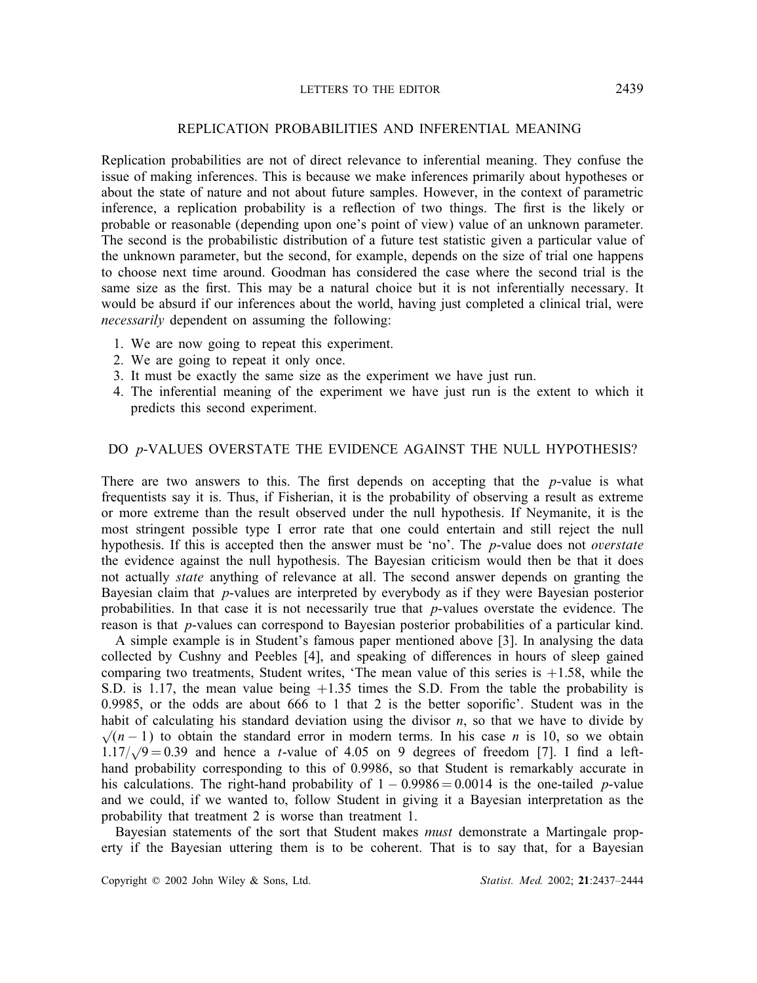#### LETTERS TO THE EDITOR 2439

#### REPLICATION PROBABILITIES AND INFERENTIAL MEANING

Replication probabilities are not of direct relevance to inferential meaning. They confuse the issue of making inferences. This is because we make inferences primarily about hypotheses or about the state of nature and not about future samples. However, in the context of parametric inference, a replication probability is a reflection of two things. The first is the likely or probable or reasonable (depending upon one's point of view) value of an unknown parameter. The second is the probabilistic distribution of a future test statistic given a particular value of the unknown parameter, but the second, for example, depends on the size of trial one happens to choose next time around. Goodman has considered the case where the second trial is the same size as the first. This may be a natural choice but it is not inferentially necessary. It would be absurd if our inferences about the world, having just completed a clinical trial, were *necessarily* dependent on assuming the following:

- 1. We are now going to repeat this experiment.
- 2. We are going to repeat it only once.
- 3. It must be exactly the same size as the experiment we have just run.
- 4. The inferential meaning of the experiment we have just run is the extent to which it predicts this second experiment.

#### DO p-VALUES OVERSTATE THE EVIDENCE AGAINST THE NULL HYPOTHESIS?

There are two answers to this. The first depends on accepting that the  $p$ -value is what frequentists say it is. Thus, if Fisherian, it is the probability of observing a result as extreme or more extreme than the result observed under the null hypothesis. If Neymanite, it is the most stringent possible type I error rate that one could entertain and still reject the null hypothesis. If this is accepted then the answer must be 'no'. The p-value does not *overstate* the evidence against the null hypothesis. The Bayesian criticism would then be that it does not actually *state* anything of relevance at all. The second answer depends on granting the Bayesian claim that p-values are interpreted by everybody as if they were Bayesian posterior probabilities. In that case it is not necessarily true that  $p$ -values overstate the evidence. The reason is that p-values can correspond to Bayesian posterior probabilities of a particular kind.

A simple example is in Student's famous paper mentioned above [3]. In analysing the data collected by Cushny and Peebles [4], and speaking of differences in hours of sleep gained comparing two treatments, Student writes, 'The mean value of this series is  $+1.58$ , while the S.D. is 1.17, the mean value being  $+1.35$  times the S.D. From the table the probability is 0.9985, or the odds are about  $666$  to 1 that 2 is the better soporific'. Student was in the habit of calculating his standard deviation using the divisor  $n$ , so that we have to divide by  $\sqrt{n-1}$ ) to obtain the standard error in modern terms. In his case *n* is 10, so we obtain  $\sqrt{(n-1)}$  to botant the standard error in modern terms. In this case *n* is 10, so we obtain 1.17/ $\sqrt{9} = 0.39$  and hence a *t*-value of 4.05 on 9 degrees of freedom [7]. I find a lefthand probability corresponding to this of 0.9986, so that Student is remarkably accurate in his calculations. The right-hand probability of  $1 - 0.9986 = 0.0014$  is the one-tailed p-value and we could, if we wanted to, follow Student in giving it a Bayesian interpretation as the probability that treatment 2 is worse than treatment 1.

Bayesian statements of the sort that Student makes *must* demonstrate a Martingale property if the Bayesian uttering them is to be coherent. That is to say that, for a Bayesian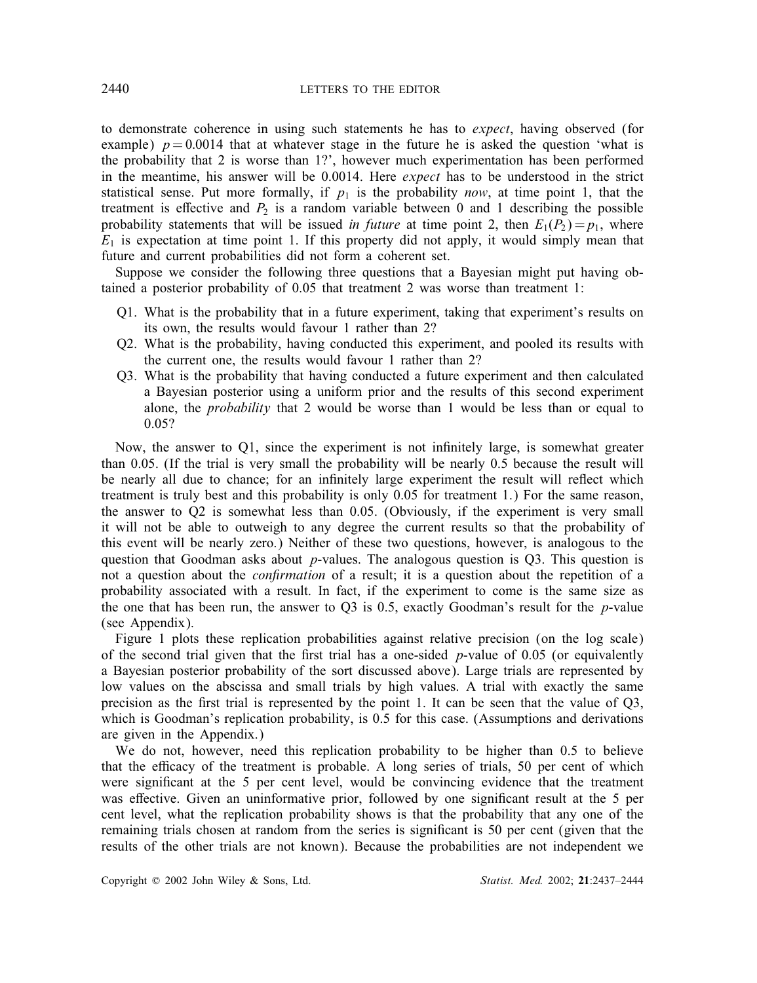to demonstrate coherence in using such statements he has to *expect*, having observed (for example)  $p = 0.0014$  that at whatever stage in the future he is asked the question 'what is the probability that 2 is worse than 1?', however much experimentation has been performed in the meantime, his answer will be 0.0014. Here *expect* has to be understood in the strict statistical sense. Put more formally, if  $p_1$  is the probability *now*, at time point 1, that the treatment is effective and  $P_2$  is a random variable between 0 and 1 describing the possible probability statements that will be issued *in future* at time point 2, then  $E_1(P_2) = p_1$ , where  $E_1$  is expectation at time point 1. If this property did not apply, it would simply mean that future and current probabilities did not form a coherent set.

Suppose we consider the following three questions that a Bayesian might put having obtained a posterior probability of 0.05 that treatment 2 was worse than treatment 1:

- Q1. What is the probability that in a future experiment, taking that experiment's results on its own, the results would favour 1 rather than 2?
- Q2. What is the probability, having conducted this experiment, and pooled its results with the current one, the results would favour 1 rather than 2?
- Q3. What is the probability that having conducted a future experiment and then calculated a Bayesian posterior using a uniform prior and the results of this second experiment alone, the *probability* that 2 would be worse than 1 would be less than or equal to 0.05?

Now, the answer to  $Q_1$ , since the experiment is not infinitely large, is somewhat greater than 0.05. (If the trial is very small the probability will be nearly 0.5 because the result will be nearly all due to chance; for an infinitely large experiment the result will reflect which treatment is truly best and this probability is only 0.05 for treatment 1.) For the same reason, the answer to Q2 is somewhat less than 0.05. (Obviously, if the experiment is very small it will not be able to outweigh to any degree the current results so that the probability of this event will be nearly zero.) Neither of these two questions, however, is analogous to the question that Goodman asks about  $p$ -values. The analogous question is Q3. This question is not a question about the *conrmation* of a result; it is a question about the repetition of a probability associated with a result. In fact, if the experiment to come is the same size as the one that has been run, the answer to  $Q3$  is 0.5, exactly Goodman's result for the p-value (see Appendix).

Figure 1 plots these replication probabilities against relative precision (on the log scale) of the second trial given that the first trial has a one-sided  $p$ -value of 0.05 (or equivalently a Bayesian posterior probability of the sort discussed above). Large trials are represented by low values on the abscissa and small trials by high values. A trial with exactly the same precision as the first trial is represented by the point 1. It can be seen that the value of  $Q3$ , which is Goodman's replication probability, is 0.5 for this case. (Assumptions and derivations are given in the Appendix.)

We do not, however, need this replication probability to be higher than 0.5 to believe that the efficacy of the treatment is probable. A long series of trials, 50 per cent of which were significant at the 5 per cent level, would be convincing evidence that the treatment was effective. Given an uninformative prior, followed by one significant result at the 5 per cent level, what the replication probability shows is that the probability that any one of the remaining trials chosen at random from the series is significant is 50 per cent (given that the results of the other trials are not known). Because the probabilities are not independent we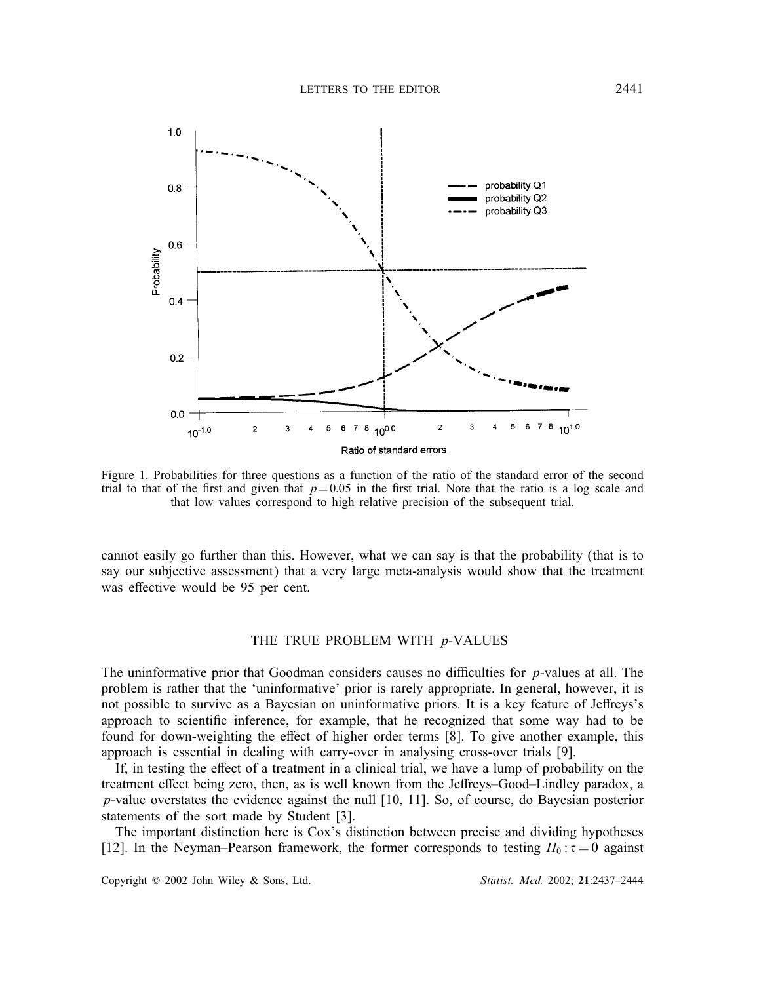

Figure 1. Probabilities for three questions as a function of the ratio of the standard error of the second trial to that of the first and given that  $p= 0.05$  in the first trial. Note that the ratio is a log scale and that low values correspond to high relative precision of the subsequent trial.

cannot easily go further than this. However, what we can say is that the probability (that is to say our subjective assessment) that a very large meta-analysis would show that the treatment was effective would be 95 per cent.

#### THE TRUE PROBLEM WITH p-VALUES

The uninformative prior that Goodman considers causes no difficulties for  $p$ -values at all. The problem is rather that the 'uninformative' prior is rarely appropriate. In general, however, it is not possible to survive as a Bayesian on uninformative priors. It is a key feature of Jeffreys's approach to scientific inference, for example, that he recognized that some way had to be found for down-weighting the effect of higher order terms [8]. To give another example, this approach is essential in dealing with carry-over in analysing cross-over trials [9].

If, in testing the effect of a treatment in a clinical trial, we have a lump of probability on the treatment effect being zero, then, as is well known from the Jeffreys-Good-Lindley paradox, a  $p$ -value overstates the evidence against the null [10, 11]. So, of course, do Bayesian posterior statements of the sort made by Student [3].

The important distinction here is Cox's distinction between precise and dividing hypotheses [12]. In the Neyman–Pearson framework, the former corresponds to testing  $H_0: \tau = 0$  against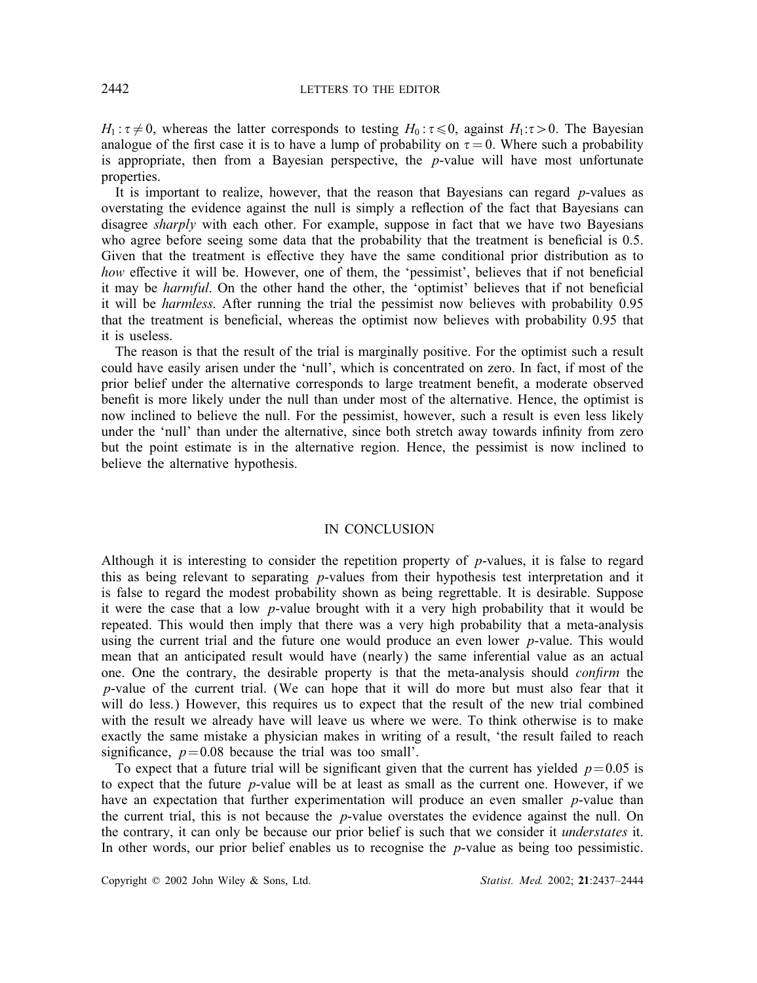$H_1: \tau \neq 0$ , whereas the latter corresponds to testing  $H_0: \tau \leq 0$ , against  $H_1: \tau > 0$ . The Bayesian analogue of the first case it is to have a lump of probability on  $\tau = 0$ . Where such a probability is appropriate, then from a Bayesian perspective, the  $p$ -value will have most unfortunate properties.

It is important to realize, however, that the reason that Bayesians can regard p-values as overstating the evidence against the null is simply a reflection of the fact that Bayesians can disagree *sharply* with each other. For example, suppose in fact that we have two Bayesians who agree before seeing some data that the probability that the treatment is beneficial is  $0.5$ . Given that the treatment is effective they have the same conditional prior distribution as to how effective it will be. However, one of them, the 'pessimist', believes that if not beneficial it may be *harmful*. On the other hand the other, the 'optimist' believes that if not benecial it will be *harmless*. After running the trial the pessimist now believes with probability 0.95 that the treatment is beneficial, whereas the optimist now believes with probability 0.95 that it is useless.

The reason is that the result of the trial is marginally positive. For the optimist such a result could have easily arisen under the 'null', which is concentrated on zero. In fact, if most of the prior belief under the alternative corresponds to large treatment benefit, a moderate observed benefit is more likely under the null than under most of the alternative. Hence, the optimist is now inclined to believe the null. For the pessimist, however, such a result is even less likely under the 'null' than under the alternative, since both stretch away towards infinity from zero but the point estimate is in the alternative region. Hence, the pessimist is now inclined to believe the alternative hypothesis.

#### IN CONCLUSION

Although it is interesting to consider the repetition property of  $p$ -values, it is false to regard this as being relevant to separating  $p$ -values from their hypothesis test interpretation and it is false to regard the modest probability shown as being regrettable. It is desirable. Suppose it were the case that a low p-value brought with it a very high probability that it would be repeated. This would then imply that there was a very high probability that a meta-analysis using the current trial and the future one would produce an even lower  $p$ -value. This would mean that an anticipated result would have (nearly) the same inferential value as an actual one. One the contrary, the desirable property is that the meta-analysis should *confirm* the p-value of the current trial. (We can hope that it will do more but must also fear that it will do less.) However, this requires us to expect that the result of the new trial combined with the result we already have will leave us where we were. To think otherwise is to make exactly the same mistake a physician makes in writing of a result, 'the result failed to reach significance,  $p=0.08$  because the trial was too small'.

To expect that a future trial will be significant given that the current has yielded  $p=0.05$  is to expect that the future p-value will be at least as small as the current one. However, if we have an expectation that further experimentation will produce an even smaller *p*-value than the current trial, this is not because the  $p$ -value overstates the evidence against the null. On the contrary, it can only be because our prior belief is such that we consider it *understates* it. In other words, our prior belief enables us to recognise the  $p$ -value as being too pessimistic.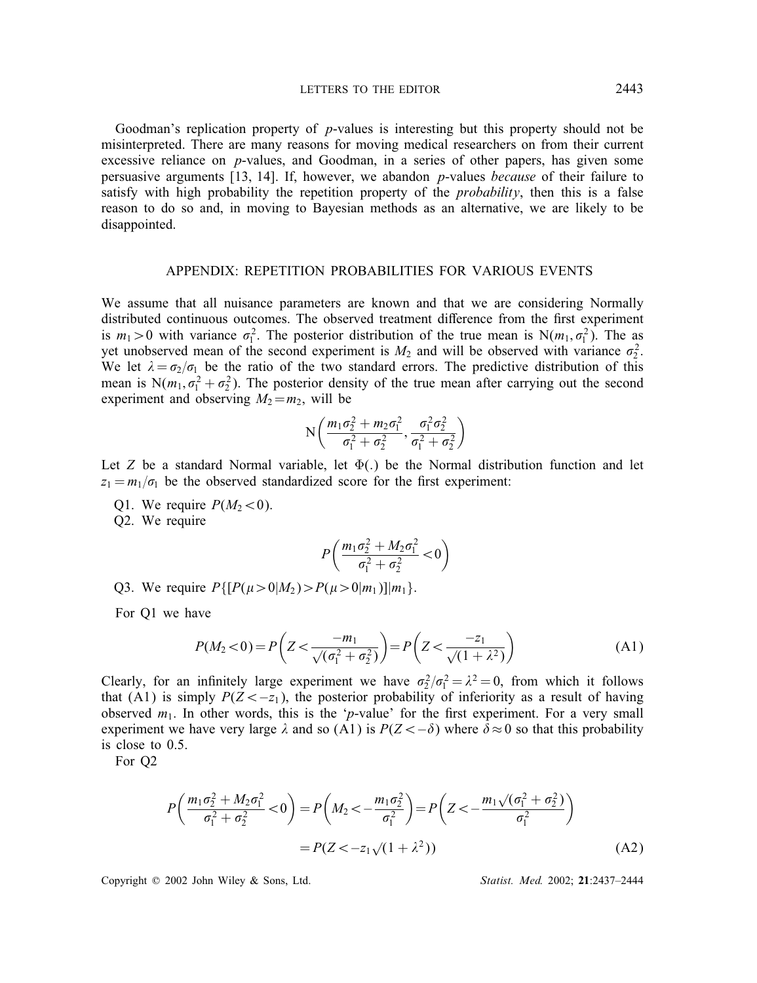LETTERS TO THE EDITOR 2443

Goodman's replication property of  $p$ -values is interesting but this property should not be misinterpreted. There are many reasons for moving medical researchers on from their current excessive reliance on  $p$ -values, and Goodman, in a series of other papers, has given some persuasive arguments [13; 14]. If, however, we abandon p-values *because* of their failure to satisfy with high probability the repetition property of the *probability*, then this is a false reason to do so and, in moving to Bayesian methods as an alternative, we are likely to be disappointed.

### APPENDIX: REPETITION PROBABILITIES FOR VARIOUS EVENTS

We assume that all nuisance parameters are known and that we are considering Normally distributed continuous outcomes. The observed treatment difference from the first experiment is  $m_1 > 0$  with variance  $\sigma_1^2$ . The posterior distribution of the true mean is N( $m_1, \sigma_1^2$ ). The as yet unobserved mean of the second experiment is  $M_2$  and will be observed with variance  $\sigma_2^2$ . We let  $\lambda = \sigma_2/\sigma_1$  be the ratio of the two standard errors. The predictive distribution of this mean is  $N(m_1, \sigma_1^2 + \sigma_2^2)$ . The posterior density of the true mean after carrying out the second experiment and observing  $M_2 = m_2$ , will be

$$
N\left(\frac{m_1\sigma_2^2 + m_2\sigma_1^2}{\sigma_1^2 + \sigma_2^2}, \frac{\sigma_1^2\sigma_2^2}{\sigma_1^2 + \sigma_2^2}\right)
$$

Let Z be a standard Normal variable, let  $\Phi(.)$  be the Normal distribution function and let  $z_1 = m_1/\sigma_1$  be the observed standardized score for the first experiment:

Q1. We require  $P(M_2<0)$ .

Q2. We require

$$
P\left(\frac{m_1\sigma_2^2 + M_2\sigma_1^2}{\sigma_1^2 + \sigma_2^2} < 0\right)
$$

Q3. We require  $P\{[P(\mu > 0|M_2) > P(\mu > 0|m_1)]|m_1\}.$ 

For Q1 we have

$$
P(M_2 < 0) = P\left(Z < \frac{-m_1}{\sqrt{(\sigma_1^2 + \sigma_2^2)}}\right) = P\left(Z < \frac{-z_1}{\sqrt{1 + \lambda^2}}\right)
$$
(A1)

Clearly, for an infinitely large experiment we have  $\sigma_2^2/\sigma_1^2 = \lambda^2 = 0$ , from which it follows that (A1) is simply  $P(Z \leq -z_1)$ , the posterior probability of inferiority as a result of having observed  $m_1$ . In other words, this is the 'p-value' for the first experiment. For a very small experiment we have very large  $\lambda$  and so (A1) is  $P(Z \lt -\delta)$  where  $\delta \approx 0$  so that this probability is close to 0.5.

For Q2

$$
P\left(\frac{m_1\sigma_2^2 + M_2\sigma_1^2}{\sigma_1^2 + \sigma_2^2} < 0\right) = P\left(M_2 < -\frac{m_1\sigma_2^2}{\sigma_1^2}\right) = P\left(Z < -\frac{m_1\sqrt{(\sigma_1^2 + \sigma_2^2)}}{\sigma_1^2}\right) \\
= P(Z < -z_1\sqrt{(1 + \lambda^2)})\tag{A2}
$$

Copyright ? 2002 John Wiley & Sons, Ltd. *Statist. Med.* 2002; 21:2437–2444